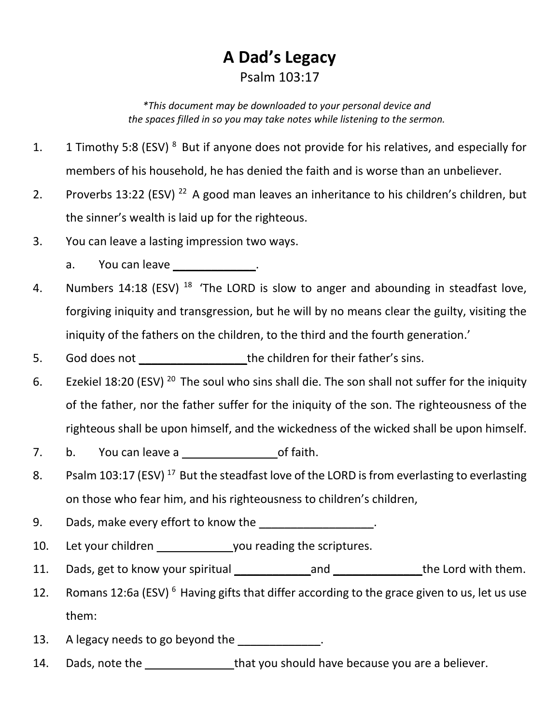## **A Dad's Legacy** Psalm 103:17

*\*This document may be downloaded to your personal device and the spaces filled in so you may take notes while listening to the sermon.*

- 1. 1 Timothy 5:8 (ESV)  $8$  But if anyone does not provide for his relatives, and especially for members of his household, he has denied the faith and is worse than an unbeliever.
- 2. Proverbs 13:22 (ESV)<sup>22</sup> A good man leaves an inheritance to his children's children, but the sinner's wealth is laid up for the righteous.
- 3. You can leave a lasting impression two ways.
	- a. You can leave \_\_\_\_\_\_\_\_\_\_\_\_\_\_.
- 4. Numbers 14:18 (ESV)  $^{18}$  'The LORD is slow to anger and abounding in steadfast love, forgiving iniquity and transgression, but he will by no means clear the guilty, visiting the iniquity of the fathers on the children, to the third and the fourth generation.'
- 5. God does not the children for their father's sins.
- 6. Ezekiel 18:20 (ESV)<sup>20</sup> The soul who sins shall die. The son shall not suffer for the iniquity of the father, nor the father suffer for the iniquity of the son. The righteousness of the righteous shall be upon himself, and the wickedness of the wicked shall be upon himself.
- 7. b. You can leave a controller bot faith.
- 8. Psalm 103:17 (ESV)<sup>17</sup> But the steadfast love of the LORD is from everlasting to everlasting on those who fear him, and his righteousness to children's children,
- 9. Dads, make every effort to know the \_\_\_\_\_\_\_\_\_\_\_\_\_\_\_\_\_\_\_.
- 10. Let your children vou reading the scriptures.
- 11. Dads, get to know your spiritual \_\_\_\_\_\_\_\_\_\_\_\_\_\_\_\_\_\_\_\_\_\_\_\_\_\_\_\_\_\_\_the Lord with them.
- 12. Romans 12:6a (ESV)<sup>6</sup> Having gifts that differ according to the grace given to us, let us use them:
- 13. A legacy needs to go beyond the same states of the state of  $\sim$
- 14. Dads, note the the that you should have because you are a believer.